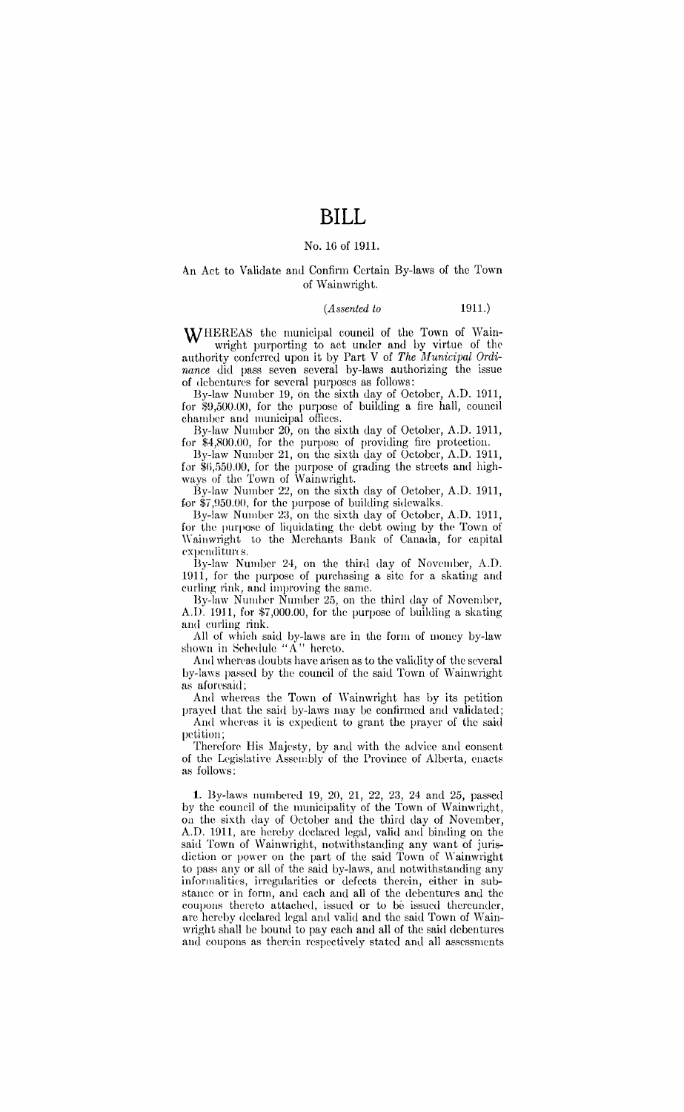# **BILL**

# No. 1G of 1911.

### An Act to Validate and Confirm Certain By-laws of the Town of Wainwright.

# *(Assented to* 1911.)

WHEREAS the municipal council of the Town of Wainwright purporting to act under and by virtue of the authority conferred upon it by Part V of *The Municipal Ordinance* did pass seven several by-laws authorizing the issue of debentures for several purposes as follows:

By-law Number 19, on the sixth day of October, A.D. 1911, for \$9,500.00, for the purpose of building a fire hall, council chamber and municipal offices.

By-law Number 20, on the sixth day of October, A.D. 1911, for \$4,800.00, for the purpose of providing fire protection.

By-law Number 21, on the sixth day of October, A.D. 1911, for  $\$6,550.00$ , for the purpose of grading the streets and highways of the Town of Wainwright.

By-law Number 22, on the sixth day of October, A.D. 1911, for  $\overline{\$7,950.00}$ , for the purpose of building sidewalks.

By-law Number 23, on the sixth day of October, A.D. 1911, for the purpose of liquidating the debt owing by the Town of Wainwright to the Merchants Bank of Canada, for capital expenditures.

By-law Number 24, on the third day of November, A.D. 1911, for the purpose of purchasing a site for a skating and curling rink, and improving the same.

By-law Number Number 25, on the third day of November, A.D. 1911, for \$7,000.00, for the purpose of building a skating and curling rink.

All of which said by-laws arc in the form of money by-law shown in Schedule " $\AA$ " hereto.

And whereas doubts have arisen as to the validity of the several by-laws passed by the council of the said Town of Wainwright as aforesaid;

And whereas the Town of Wainwright has by its petition prayed that the said by-laws may be confirmed and validated; And whereas it is expedient to grant the prayer of the said petition;

Therefore His Majesty, by and with the advice and consent of the Legislative Assembly of the Province of Alberta, enacts as follows:

1. By-laws numbered 19, 20, 21, 22, 23, 24 and 25, passed by the council of the municipality of the Town of Wainwright, on the sixth day of October and the third day of November, A.D. 1911, are hereby declared legal, valid and binding on the said Town of Wainwright, notwithstanding any want of jurisdiction or power on the part of the said Town of Wainwright to pass any or all of the said by-laws, and notwithstanding any informalities, irregularities or defects therein, either in substance or in form, and each and all of the debentures and the coupons thereto attached, issued or to be issued thereunder, are hereby declared legal and valid and the said Town of Wainwright shall be bound to pay each and all of the said debentures and coupons as therein respectively stated and all assessments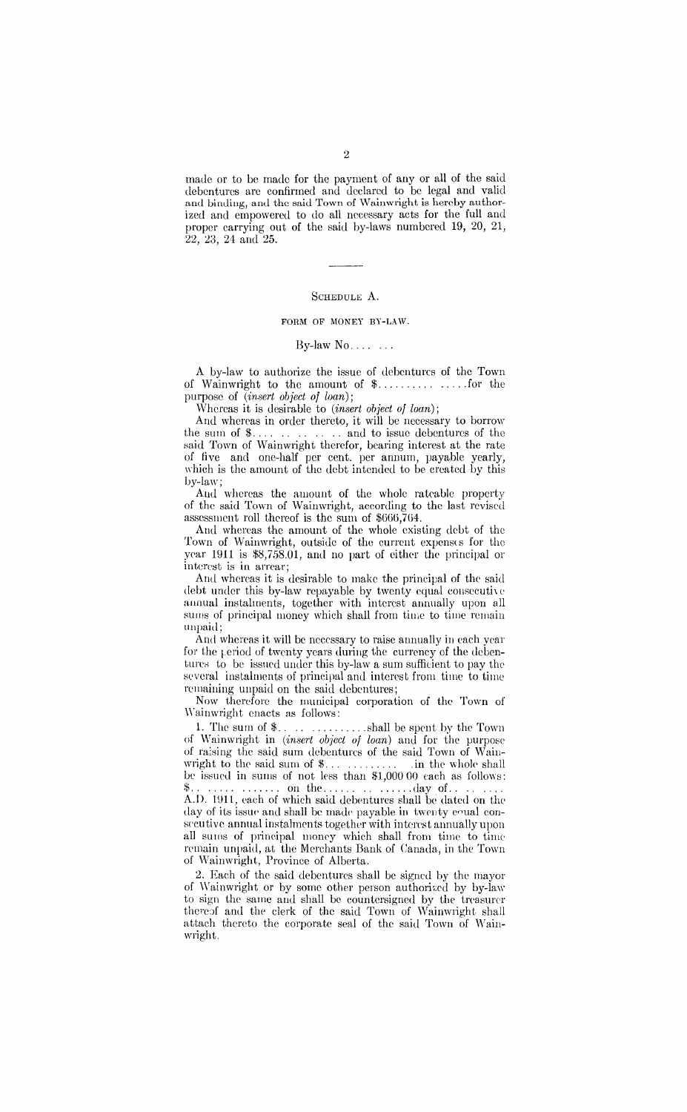made or to be made for the payment of any or all of the said debentures arc confirmed and declared to be legal and valid and binding, and the said Town of Wainwright is hereby authorized and empowered to do all necessary acts for the full and proper carrying out of the said by-laws numbered 19, 20, 21, 22, 23, 24 and 25.

#### ScHEDULE A.

#### FORM OF MONEY BY-LAW.

### By-law  $No...$ ...

A by-law to authorize the issue of debentures of the Town of Wainwright to the amount of \$. . . . . . . . . . . .... for the purpose of *(insert object of loan);* 

Whereas it is desirable to *(insert object of loan);* 

And whcrras in order thereto, it will be necessary to borrow the sum of  $\mathcal{F}$ .......... and to issue debentures of the said Town of Wainwright therefor, bearing interest at the rate of five and one-half per cent. per annum, payable yearly, which is the amount of the debt intended to be created by this by-la\v;

And whereas the amount of the whole rateable property of the said Town of Wainwright, according to the last revised assessment roll thereof is the sum of \$666, 7G4.

And whereas the amount of the whole existing debt of the Town of Wainwright, outside of the current expenses for the year 1911 is \$8,758.01, and no part of either the principal or interest is in arrear;

And whereas it is desirable to make the principal of the said debt under this by-law repayable by twenty equal consecutive aunual instalments, together with interest annually upon all sums of principal money which shall from time to time remain unpaid;

And whereas it will be necessary to raise annually in each year for the period of twenty years during the currency of the debentures to be issued under this by-law a sum sufficient to pay the several instalments of principal and interest from time to time remaining unpaid on the said debentures;

Now therefore the municipal corporation of the Town of \\"ainwright enacts as follows:

1. The sum of \$. . . . . ......... shall be spent by the Town of Waiinwright in *(insert object of loan)* and for the purpose of ra:si ng the said sum debentures of the said Town of Waiuwright to the said sum of  $\ldots$ ........ be issued in sums of not less than \$1,000 00 each as folhws: \$ .............. on the .............. day of ....... . A.D. lUll, each of which said debentures shall be dated on tlw day of its issue and shall be made payable in twenty equal consecutive annual instalments together with interest annually upon all sums of principal money which shall from time to time remain unpaid, at the Merchants Bank of Canada, in the Town of Wainwright, Province of Alberta.

2. Each of the said debentures shall be signed by the mayor of Wainwright or by some other person authorized by by-law to sign the same and shall be countersigned by the treasurer thereof and the clerk of the said Town of Wainwright shall attach thereto the corporate seal of the said Town of Wainwright.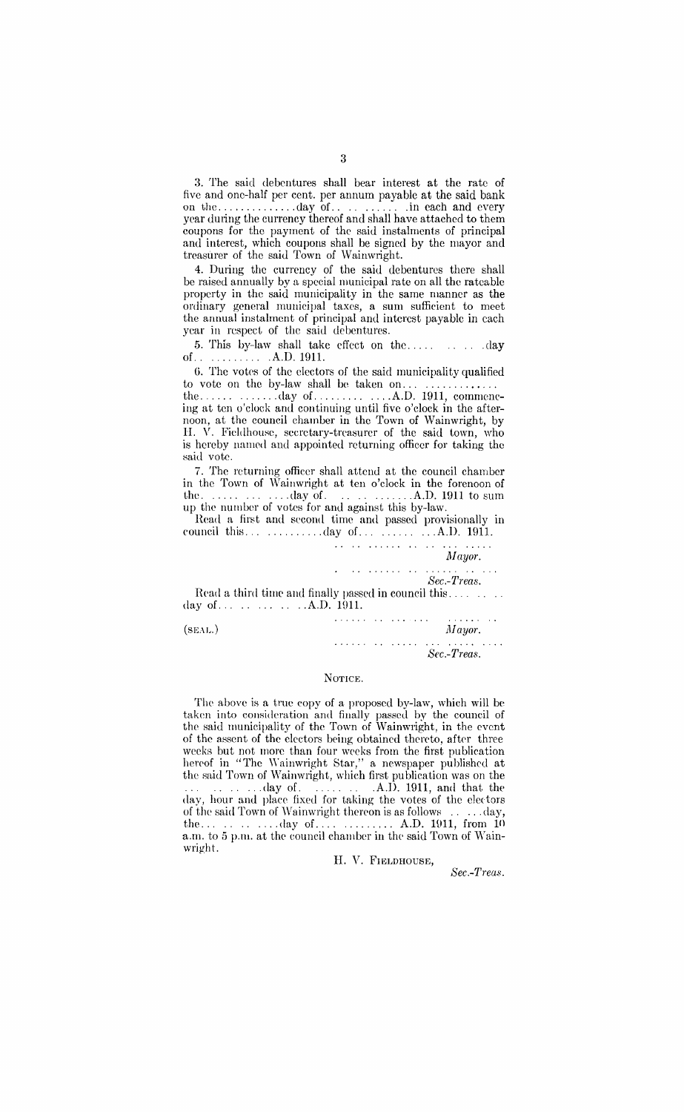3. The said debentures shall bear interest at the rate of five and one-half per cent. per annum payable at the said bank on the .............. day of. . . . . . . . . . . in each and every year during the currency thereof and shall have attached to them coupons for the payment of the said instalments of principal and interest, which coupons shall be signed by the mayor and treasurer of the said Town of Wainwright.

4. During the currency of the said debentures there shall be raised annually by a special municipal rate on all the rateable property in the said municipality in the same manner as the ordinary general municipal taxes, a sum sufficient to meet the annual instalment of principal and interest payable in each year in respect of the said debentures.

5. This by-law shall take effect on the..... . . . . . . . day of. ........... A.D. 1911.

G. The votes of the electors of the said municipality qualified to vote on the by-law shall be taken on...

the ............. day of ............. A.D. 1911, commencing at ten o'clock and continuing until five o'clock in the afternoon, at the council chamber in the Town of Wainwright, by H. V. Fieldhouse, secretary-treasurer of the said town, who is hereby named and appointed returning officer for taking the said vote.

7. The returning officer shall attend at the council chamber in the Town of Wainwright at ten o'clock in the forenoon of the  $\dots \dots \dots \text{day of}$ . . . . . . . . . . . . . A.D. 1911 to sum up the number of votes for and against this by-law.

Read a first and second time and passed provisionally in council this. . . . ......... clay of. . . . . . . . . . .. A.D. 1911.

. . . . . . . .

 $\mathcal{A}$  is a subset of the set of  $\mathcal{A}$ *Sec.-Treas.* 

Read a third time and finally passed in council this........ day of ............ A.D. Hlll.

 $(Mayor.$  *Mayor.* . . . . . . . . . . . . . . . .  $\sim$  . . . . . . . . . *Sec.-Treas.* 

#### NOTICE.

The above is a true copy of a proposed by-law, which will be taken into consideration and finally passed by the council of the said municipality of the Town of Wainwright, in the event of the assent of the electors being obtained thereto, after three weeks but not more than four weeks from the first publication hereof in "The Wainwright Star," a newspaper published at the said Town of Wainwright, which first publication was on the ....... day of. . . . . . . . .A.D. 1911, and that the day, hour and place fixed for taking the votes of the electors of the said Town of \Vain wright thereon is as followR . . . .. clay, the ........... day of ............. A.D. HH1, from <sup>10</sup> a.m. to 5 p.m. at the council chamber in the said Town of Wainwright.

H. v. FIELDHOUSE,

*Sec.-Treas.* 

*Mayor.*